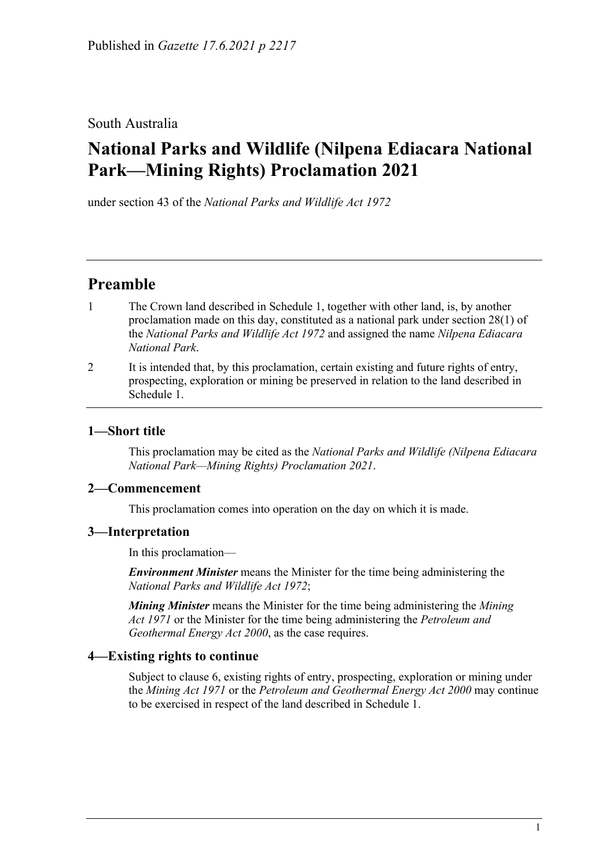## South Australia

# **National Parks and Wildlife (Nilpena Ediacara National Park—Mining Rights) Proclamation 2021**

under section 43 of the *National Parks and Wildlife Act 1972*

## **Preamble**

- 1 The Crown land described in [Schedule](#page-2-0) 1, together with other land, is, by another proclamation made on this day, constituted as a national park under section 28(1) of the *[National Parks and Wildlife Act](http://www.legislation.sa.gov.au/index.aspx?action=legref&type=act&legtitle=National%20Parks%20and%20Wildlife%20Act%201972) 1972* and assigned the name *Nilpena Ediacara National Park*.
- 2 It is intended that, by this proclamation, certain existing and future rights of entry, prospecting, exploration or mining be preserved in relation to the land described in [Schedule](#page-2-0) 1.

## **1—Short title**

This proclamation may be cited as the *National Parks and Wildlife (Nilpena Ediacara National Park—Mining Rights) Proclamation 2021*.

### **2—Commencement**

This proclamation comes into operation on the day on which it is made.

### **3—Interpretation**

In this proclamation—

*Environment Minister* means the Minister for the time being administering the *[National Parks and Wildlife Act](http://www.legislation.sa.gov.au/index.aspx?action=legref&type=act&legtitle=National%20Parks%20and%20Wildlife%20Act%201972) 1972*;

*Mining Minister* means the Minister for the time being administering the *[Mining](http://www.legislation.sa.gov.au/index.aspx?action=legref&type=act&legtitle=Mining%20Act%201971)  Act [1971](http://www.legislation.sa.gov.au/index.aspx?action=legref&type=act&legtitle=Mining%20Act%201971)* or the Minister for the time being administering the *[Petroleum and](http://www.legislation.sa.gov.au/index.aspx?action=legref&type=act&legtitle=Petroleum%20and%20Geothermal%20Energy%20Act%202000)  [Geothermal Energy Act](http://www.legislation.sa.gov.au/index.aspx?action=legref&type=act&legtitle=Petroleum%20and%20Geothermal%20Energy%20Act%202000) 2000*, as the case requires.

### **4—Existing rights to continue**

Subject to [clause](#page-1-0) 6, existing rights of entry, prospecting, exploration or mining under the *[Mining Act](http://www.legislation.sa.gov.au/index.aspx?action=legref&type=act&legtitle=Mining%20Act%201971) 1971* or the *[Petroleum and Geothermal Energy Act](http://www.legislation.sa.gov.au/index.aspx?action=legref&type=act&legtitle=Petroleum%20and%20Geothermal%20Energy%20Act%202000) 2000* may continue to be exercised in respect of the land described in [Schedule](#page-2-0) 1.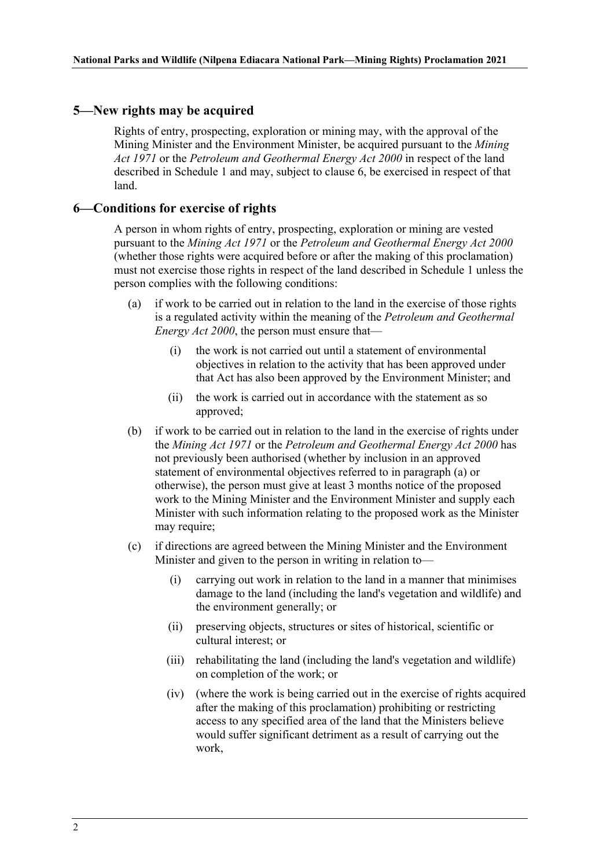#### <span id="page-1-3"></span>**5—New rights may be acquired**

Rights of entry, prospecting, exploration or mining may, with the approval of the Mining Minister and the Environment Minister, be acquired pursuant to the *[Mining](http://www.legislation.sa.gov.au/index.aspx?action=legref&type=act&legtitle=Mining%20Act%201971)  Act [1971](http://www.legislation.sa.gov.au/index.aspx?action=legref&type=act&legtitle=Mining%20Act%201971)* or the *[Petroleum and Geothermal Energy Act](http://www.legislation.sa.gov.au/index.aspx?action=legref&type=act&legtitle=Petroleum%20and%20Geothermal%20Energy%20Act%202000) 2000* in respect of the land described in [Schedule](#page-2-0) 1 and may, subject to [clause](#page-1-0) 6, be exercised in respect of that land.

#### <span id="page-1-0"></span>**6—Conditions for exercise of rights**

A person in whom rights of entry, prospecting, exploration or mining are vested pursuant to the *[Mining Act](http://www.legislation.sa.gov.au/index.aspx?action=legref&type=act&legtitle=Mining%20Act%201971) 1971* or the *[Petroleum and Geothermal Energy Act](http://www.legislation.sa.gov.au/index.aspx?action=legref&type=act&legtitle=Petroleum%20and%20Geothermal%20Energy%20Act%202000) 2000* (whether those rights were acquired before or after the making of this proclamation) must not exercise those rights in respect of the land described in [Schedule](#page-2-0) 1 unless the person complies with the following conditions:

- <span id="page-1-1"></span>(a) if work to be carried out in relation to the land in the exercise of those rights is a regulated activity within the meaning of the *[Petroleum and Geothermal](http://www.legislation.sa.gov.au/index.aspx?action=legref&type=act&legtitle=Petroleum%20and%20Geothermal%20Energy%20Act%202000)  [Energy Act](http://www.legislation.sa.gov.au/index.aspx?action=legref&type=act&legtitle=Petroleum%20and%20Geothermal%20Energy%20Act%202000) 2000*, the person must ensure that—
	- (i) the work is not carried out until a statement of environmental objectives in relation to the activity that has been approved under that Act has also been approved by the Environment Minister; and
	- (ii) the work is carried out in accordance with the statement as so approved;
- (b) if work to be carried out in relation to the land in the exercise of rights under the *[Mining Act](http://www.legislation.sa.gov.au/index.aspx?action=legref&type=act&legtitle=Mining%20Act%201971) 1971* or the *[Petroleum and Geothermal Energy Act](http://www.legislation.sa.gov.au/index.aspx?action=legref&type=act&legtitle=Petroleum%20and%20Geothermal%20Energy%20Act%202000) 2000* has not previously been authorised (whether by inclusion in an approved statement of environmental objectives referred to in [paragraph](#page-1-1) (a) or otherwise), the person must give at least 3 months notice of the proposed work to the Mining Minister and the Environment Minister and supply each Minister with such information relating to the proposed work as the Minister may require;
- <span id="page-1-4"></span><span id="page-1-2"></span>(c) if directions are agreed between the Mining Minister and the Environment Minister and given to the person in writing in relation to—
	- (i) carrying out work in relation to the land in a manner that minimises damage to the land (including the land's vegetation and wildlife) and the environment generally; or
	- (ii) preserving objects, structures or sites of historical, scientific or cultural interest; or
	- (iii) rehabilitating the land (including the land's vegetation and wildlife) on completion of the work; or
	- (iv) (where the work is being carried out in the exercise of rights acquired after the making of this proclamation) prohibiting or restricting access to any specified area of the land that the Ministers believe would suffer significant detriment as a result of carrying out the work,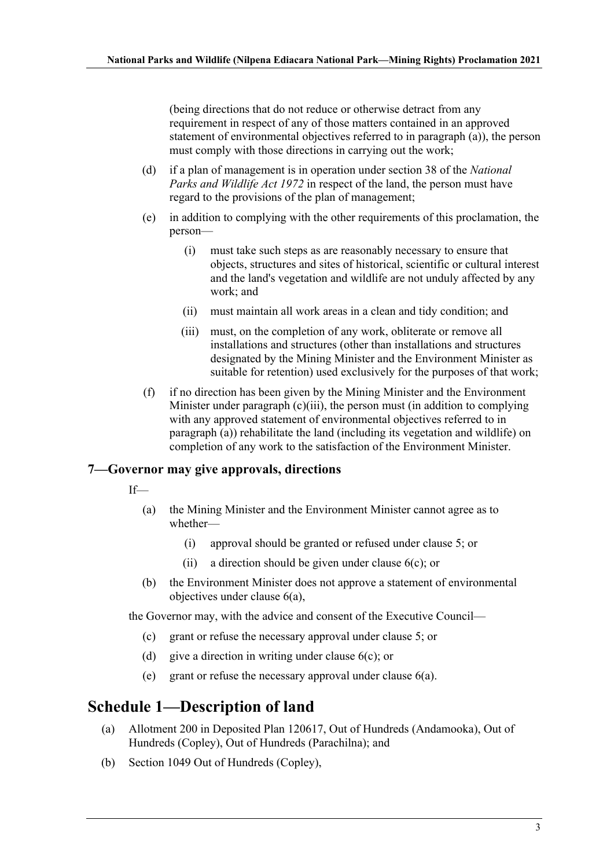(being directions that do not reduce or otherwise detract from any requirement in respect of any of those matters contained in an approved statement of environmental objectives referred to in [paragraph](#page-1-1) (a)), the person must comply with those directions in carrying out the work;

- (d) if a plan of management is in operation under section 38 of the *[National](http://www.legislation.sa.gov.au/index.aspx?action=legref&type=act&legtitle=National%20Parks%20and%20Wildlife%20Act%201972)  [Parks and Wildlife Act](http://www.legislation.sa.gov.au/index.aspx?action=legref&type=act&legtitle=National%20Parks%20and%20Wildlife%20Act%201972) 1972* in respect of the land, the person must have regard to the provisions of the plan of management;
- (e) in addition to complying with the other requirements of this proclamation, the person—
	- (i) must take such steps as are reasonably necessary to ensure that objects, structures and sites of historical, scientific or cultural interest and the land's vegetation and wildlife are not unduly affected by any work; and
	- (ii) must maintain all work areas in a clean and tidy condition; and
	- (iii) must, on the completion of any work, obliterate or remove all installations and structures (other than installations and structures designated by the Mining Minister and the Environment Minister as suitable for retention) used exclusively for the purposes of that work;
- (f) if no direction has been given by the Mining Minister and the Environment Minister under [paragraph](#page-1-2) (c)(iii), the person must (in addition to complying with any approved statement of environmental objectives referred to in [paragraph](#page-1-1) (a)) rehabilitate the land (including its vegetation and wildlife) on completion of any work to the satisfaction of the Environment Minister.

#### **7—Governor may give approvals, directions**

- If—
	- (a) the Mining Minister and the Environment Minister cannot agree as to whether—
		- (i) approval should be granted or refused under [clause](#page-1-3) 5; or
		- (ii) a direction should be given under [clause](#page-1-4) 6(c); or
	- (b) the Environment Minister does not approve a statement of environmental objectives under [clause](#page-1-1) 6(a),

the Governor may, with the advice and consent of the Executive Council—

- (c) grant or refuse the necessary approval under [clause](#page-1-3) 5; or
- (d) give a direction in writing under [clause](#page-1-4)  $6(c)$ ; or
- (e) grant or refuse the necessary approval under [clause](#page-1-1) 6(a).

## <span id="page-2-0"></span>**Schedule 1—Description of land**

- (a) Allotment 200 in Deposited Plan 120617, Out of Hundreds (Andamooka), Out of Hundreds (Copley), Out of Hundreds (Parachilna); and
- (b) Section 1049 Out of Hundreds (Copley),